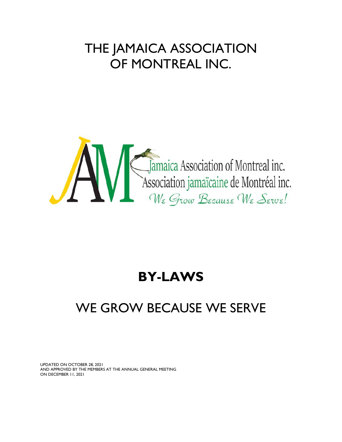# THE JAMAICA ASSOCIATION OF MONTREAL INC.



## **BY-LAWS**

# WE GROW BECAUSE WE SERVE

UPDATED ON OCTOBER 28, 2021 AND APPROVED BY THE MEMBERS AT THE ANNUAL GENERAL MEETING ON DECEMBER 11, 2021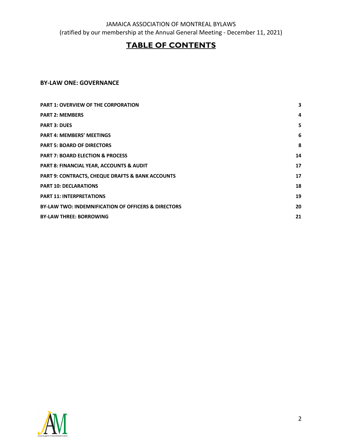## **TABLE OF CONTENTS**

## **BY-LAW ONE: GOVERNANCE**

| <b>PART 1: OVERVIEW OF THE CORPORATION</b>                     | 3  |
|----------------------------------------------------------------|----|
| <b>PART 2: MEMBERS</b>                                         | 4  |
| <b>PART 3: DUES</b>                                            | 5  |
| <b>PART 4: MEMBERS' MEETINGS</b>                               | 6  |
| <b>PART 5: BOARD OF DIRECTORS</b>                              | 8  |
| <b>PART 7: BOARD ELECTION &amp; PROCESS</b>                    | 14 |
| <b>PART 8: FINANCIAL YEAR, ACCOUNTS &amp; AUDIT</b>            | 17 |
| <b>PART 9: CONTRACTS, CHEQUE DRAFTS &amp; BANK ACCOUNTS</b>    | 17 |
| <b>PART 10: DECLARATIONS</b>                                   | 18 |
| <b>PART 11: INTERPRETATIONS</b>                                | 19 |
| <b>BY-LAW TWO: INDEMNIFICATION OF OFFICERS &amp; DIRECTORS</b> | 20 |
| <b>BY-LAW THREE: BORROWING</b>                                 | 21 |
|                                                                |    |

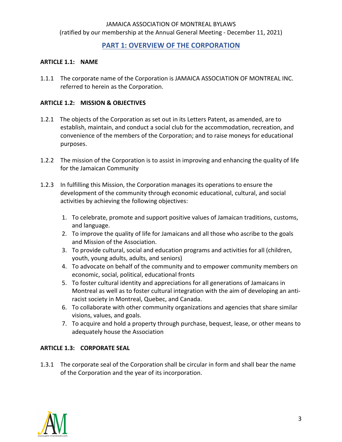## **PART 1: OVERVIEW OF THE CORPORATION**

#### **ARTICLE 1.1: NAME**

1.1.1 The corporate name of the Corporation is JAMAICA ASSOCIATION OF MONTREAL INC. referred to herein as the Corporation.

#### **ARTICLE 1.2: MISSION & OBJECTIVES**

- 1.2.1 The objects of the Corporation as set out in its Letters Patent, as amended, are to establish, maintain, and conduct a social club for the accommodation, recreation, and convenience of the members of the Corporation; and to raise moneys for educational purposes.
- 1.2.2 The mission of the Corporation is to assist in improving and enhancing the quality of life for the Jamaican Community
- 1.2.3 In fulfilling this Mission, the Corporation manages its operations to ensure the development of the community through economic educational, cultural, and social activities by achieving the following objectives:
	- 1. To celebrate, promote and support positive values of Jamaican traditions, customs, and language.
	- 2. To improve the quality of life for Jamaicans and all those who ascribe to the goals and Mission of the Association.
	- 3. To provide cultural, social and education programs and activities for all (children, youth, young adults, adults, and seniors)
	- 4. To advocate on behalf of the community and to empower community members on economic, social, political, educational fronts
	- 5. To foster cultural identity and appreciations for all generations of Jamaicans in Montreal as well as to foster cultural integration with the aim of developing an antiracist society in Montreal, Quebec, and Canada.
	- 6. To collaborate with other community organizations and agencies that share similar visions, values, and goals.
	- 7. To acquire and hold a property through purchase, bequest, lease, or other means to adequately house the Association

## **ARTICLE 1.3: CORPORATE SEAL**

1.3.1 The corporate seal of the Corporation shall be circular in form and shall bear the name of the Corporation and the year of its incorporation.

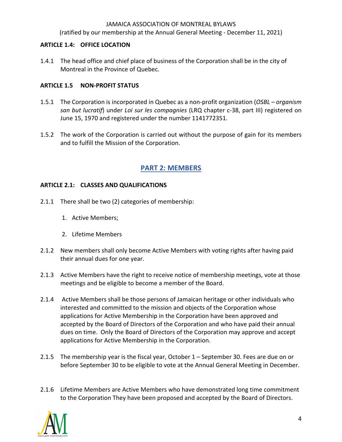(ratified by our membership at the Annual General Meeting - December 11, 2021)

#### **ARTICLE 1.4: OFFICE LOCATION**

1.4.1 The head office and chief place of business of the Corporation shall be in the city of Montreal in the Province of Quebec.

## **ARTICLE 1.5 NON-PROFIT STATUS**

- 1.5.1 The Corporation is incorporated in Quebec as a non-profit organization (*OSBL – organism san but lucratif*) under *Loi sur les compagnies* (LRQ chapter c-38, part III) registered on June 15, 1970 and registered under the number 1141772351.
- 1.5.2 The work of the Corporation is carried out without the purpose of gain for its members and to fulfill the Mission of the Corporation.

## **PART 2: MEMBERS**

#### **ARTICLE 2.1: CLASSES AND QUALIFICATIONS**

- 2.1.1 There shall be two (2) categories of membership:
	- 1. Active Members;
	- 2. Lifetime Members
- 2.1.2 New members shall only become Active Members with voting rights after having paid their annual dues for one year.
- 2.1.3 Active Members have the right to receive notice of membership meetings, vote at those meetings and be eligible to become a member of the Board.
- 2.1.4 Active Members shall be those persons of Jamaican heritage or other individuals who interested and committed to the mission and objects of the Corporation whose applications for Active Membership in the Corporation have been approved and accepted by the Board of Directors of the Corporation and who have paid their annual dues on time. Only the Board of Directors of the Corporation may approve and accept applications for Active Membership in the Corporation.
- 2.1.5 The membership year is the fiscal year, October 1 September 30. Fees are due on or before September 30 to be eligible to vote at the Annual General Meeting in December.
- 2.1.6 Lifetime Members are Active Members who have demonstrated long time commitment to the Corporation They have been proposed and accepted by the Board of Directors.

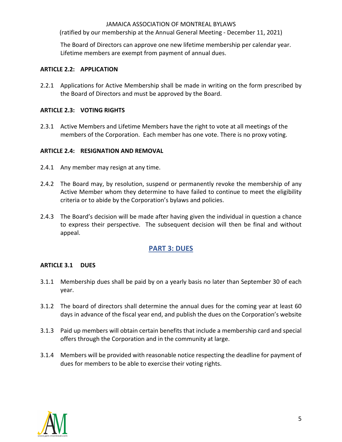(ratified by our membership at the Annual General Meeting - December 11, 2021)

The Board of Directors can approve one new lifetime membership per calendar year. Lifetime members are exempt from payment of annual dues.

#### **ARTICLE 2.2: APPLICATION**

2.2.1 Applications for Active Membership shall be made in writing on the form prescribed by the Board of Directors and must be approved by the Board.

#### **ARTICLE 2.3: VOTING RIGHTS**

2.3.1 Active Members and Lifetime Members have the right to vote at all meetings of the members of the Corporation. Each member has one vote. There is no proxy voting.

#### **ARTICLE 2.4: RESIGNATION AND REMOVAL**

- 2.4.1 Any member may resign at any time.
- 2.4.2 The Board may, by resolution, suspend or permanently revoke the membership of any Active Member whom they determine to have failed to continue to meet the eligibility criteria or to abide by the Corporation's bylaws and policies.
- 2.4.3 The Board's decision will be made after having given the individual in question a chance to express their perspective. The subsequent decision will then be final and without appeal.

## **PART 3: DUES**

#### **ARTICLE 3.1 DUES**

- 3.1.1 Membership dues shall be paid by on a yearly basis no later than September 30 of each year.
- 3.1.2 The board of directors shall determine the annual dues for the coming year at least 60 days in advance of the fiscal year end, and publish the dues on the Corporation's website
- 3.1.3 Paid up members will obtain certain benefits that include a membership card and special offers through the Corporation and in the community at large.
- 3.1.4 Members will be provided with reasonable notice respecting the deadline for payment of dues for members to be able to exercise their voting rights.

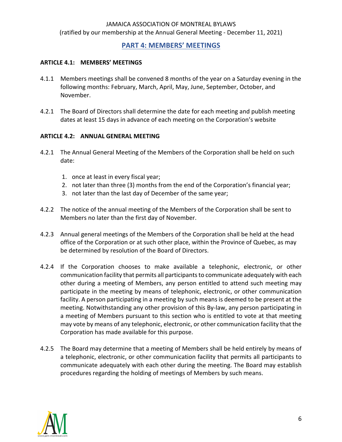## **PART 4: MEMBERS' MEETINGS**

#### **ARTICLE 4.1: MEMBERS' MEETINGS**

- 4.1.1 Members meetings shall be convened 8 months of the year on a Saturday evening in the following months: February, March, April, May, June, September, October, and November.
- 4.2.1 The Board of Directors shall determine the date for each meeting and publish meeting dates at least 15 days in advance of each meeting on the Corporation's website

#### **ARTICLE 4.2: ANNUAL GENERAL MEETING**

- 4.2.1 The Annual General Meeting of the Members of the Corporation shall be held on such date:
	- 1. once at least in every fiscal year;
	- 2. not later than three (3) months from the end of the Corporation's financial year;
	- 3. not later than the last day of December of the same year;
- 4.2.2 The notice of the annual meeting of the Members of the Corporation shall be sent to Members no later than the first day of November.
- 4.2.3 Annual general meetings of the Members of the Corporation shall be held at the head office of the Corporation or at such other place, within the Province of Quebec, as may be determined by resolution of the Board of Directors.
- 4.2.4 If the Corporation chooses to make available a telephonic, electronic, or other communication facility that permits all participants to communicate adequately with each other during a meeting of Members, any person entitled to attend such meeting may participate in the meeting by means of telephonic, electronic, or other communication facility. A person participating in a meeting by such means is deemed to be present at the meeting. Notwithstanding any other provision of this By-law, any person participating in a meeting of Members pursuant to this section who is entitled to vote at that meeting may vote by means of any telephonic, electronic, or other communication facility that the Corporation has made available for this purpose.
- 4.2.5 The Board may determine that a meeting of Members shall be held entirely by means of a telephonic, electronic, or other communication facility that permits all participants to communicate adequately with each other during the meeting. The Board may establish procedures regarding the holding of meetings of Members by such means.

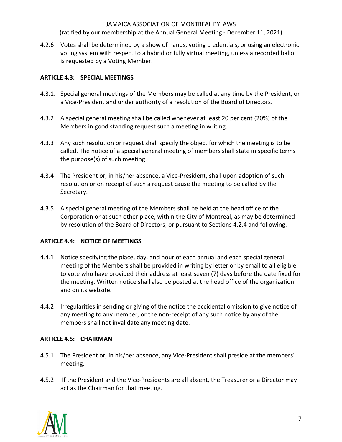(ratified by our membership at the Annual General Meeting - December 11, 2021)

4.2.6 Votes shall be determined by a show of hands, voting credentials, or using an electronic voting system with respect to a hybrid or fully virtual meeting, unless a recorded ballot is requested by a Voting Member.

#### **ARTICLE 4.3: SPECIAL MEETINGS**

- 4.3.1. Special general meetings of the Members may be called at any time by the President, or a Vice-President and under authority of a resolution of the Board of Directors.
- 4.3.2 A special general meeting shall be called whenever at least 20 per cent (20%) of the Members in good standing request such a meeting in writing.
- 4.3.3 Any such resolution or request shall specify the object for which the meeting is to be called. The notice of a special general meeting of members shall state in specific terms the purpose(s) of such meeting.
- 4.3.4 The President or, in his/her absence, a Vice-President, shall upon adoption of such resolution or on receipt of such a request cause the meeting to be called by the Secretary.
- 4.3.5 A special general meeting of the Members shall be held at the head office of the Corporation or at such other place, within the City of Montreal, as may be determined by resolution of the Board of Directors, or pursuant to Sections 4.2.4 and following.

#### **ARTICLE 4.4: NOTICE OF MEETINGS**

- 4.4.1 Notice specifying the place, day, and hour of each annual and each special general meeting of the Members shall be provided in writing by letter or by email to all eligible to vote who have provided their address at least seven (7) days before the date fixed for the meeting. Written notice shall also be posted at the head office of the organization and on its website.
- 4.4.2 Irregularities in sending or giving of the notice the accidental omission to give notice of any meeting to any member, or the non-receipt of any such notice by any of the members shall not invalidate any meeting date.

#### **ARTICLE 4.5: CHAIRMAN**

- 4.5.1 The President or, in his/her absence, any Vice-President shall preside at the members' meeting.
- 4.5.2 If the President and the Vice-Presidents are all absent, the Treasurer or a Director may act as the Chairman for that meeting.

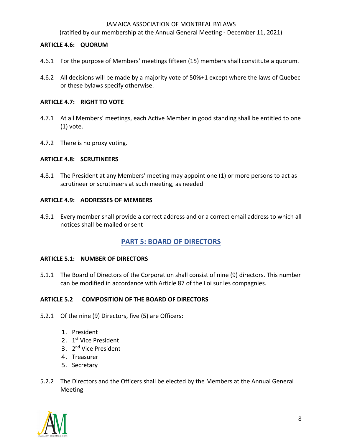(ratified by our membership at the Annual General Meeting - December 11, 2021)

#### **ARTICLE 4.6: QUORUM**

- 4.6.1 For the purpose of Members' meetings fifteen (15) members shall constitute a quorum.
- 4.6.2 All decisions will be made by a majority vote of 50%+1 except where the laws of Quebec or these bylaws specify otherwise.

#### **ARTICLE 4.7: RIGHT TO VOTE**

- 4.7.1 At all Members' meetings, each Active Member in good standing shall be entitled to one (1) vote.
- 4.7.2 There is no proxy voting.

#### **ARTICLE 4.8: SCRUTINEERS**

4.8.1 The President at any Members' meeting may appoint one (1) or more persons to act as scrutineer or scrutineers at such meeting, as needed

#### **ARTICLE 4.9: ADDRESSES OF MEMBERS**

4.9.1 Every member shall provide a correct address and or a correct email address to which all notices shall be mailed or sent

## **PART 5: BOARD OF DIRECTORS**

#### **ARTICLE 5.1: NUMBER OF DIRECTORS**

5.1.1 The Board of Directors of the Corporation shall consist of nine (9) directors. This number can be modified in accordance with Article 87 of the Loi sur les compagnies.

#### **ARTICLE 5.2 COMPOSITION OF THE BOARD OF DIRECTORS**

- 5.2.1 Of the nine (9) Directors, five (5) are Officers:
	- 1. President
	- 2. 1<sup>st</sup> Vice President
	- 3. 2<sup>nd</sup> Vice President
	- 4. Treasurer
	- 5. Secretary
- 5.2.2 The Directors and the Officers shall be elected by the Members at the Annual General Meeting

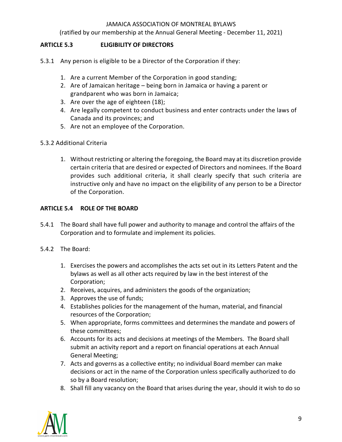(ratified by our membership at the Annual General Meeting - December 11, 2021)

#### **ARTICLE 5.3 ELIGIBILITY OF DIRECTORS**

- 5.3.1 Any person is eligible to be a Director of the Corporation if they:
	- 1. Are a current Member of the Corporation in good standing;
	- 2. Are of Jamaican heritage being born in Jamaica or having a parent or grandparent who was born in Jamaica;
	- 3. Are over the age of eighteen (18);
	- 4. Are legally competent to conduct business and enter contracts under the laws of Canada and its provinces; and
	- 5. Are not an employee of the Corporation.

#### 5.3.2 Additional Criteria

1. Without restricting or altering the foregoing, the Board may at its discretion provide certain criteria that are desired or expected of Directors and nominees. If the Board provides such additional criteria, it shall clearly specify that such criteria are instructive only and have no impact on the eligibility of any person to be a Director of the Corporation.

#### **ARTICLE 5.4 ROLE OF THE BOARD**

- 5.4.1 The Board shall have full power and authority to manage and control the affairs of the Corporation and to formulate and implement its policies.
- 5.4.2 The Board:
	- 1. Exercises the powers and accomplishes the acts set out in its Letters Patent and the bylaws as well as all other acts required by law in the best interest of the Corporation;
	- 2. Receives, acquires, and administers the goods of the organization;
	- 3. Approves the use of funds;
	- 4. Establishes policies for the management of the human, material, and financial resources of the Corporation;
	- 5. When appropriate, forms committees and determines the mandate and powers of these committees;
	- 6. Accounts for its acts and decisions at meetings of the Members. The Board shall submit an activity report and a report on financial operations at each Annual General Meeting;
	- 7. Acts and governs as a collective entity; no individual Board member can make decisions or act in the name of the Corporation unless specifically authorized to do so by a Board resolution;
	- 8. Shall fill any vacancy on the Board that arises during the year, should it wish to do so

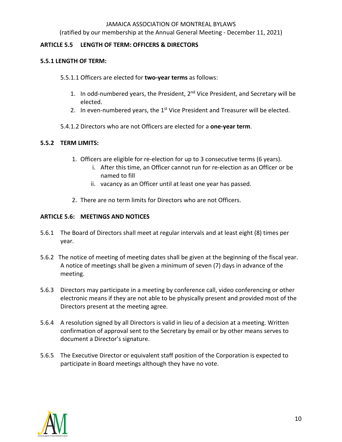(ratified by our membership at the Annual General Meeting - December 11, 2021)

#### **ARTICLE 5.5 LENGTH OF TERM: OFFICERS & DIRECTORS**

#### **5.5.1 LENGTH OF TERM:**

#### 5.5.1.1 Officers are elected for **two-year terms** as follows:

- 1. In odd-numbered years, the President,  $2<sup>nd</sup>$  Vice President, and Secretary will be elected.
- 2. In even-numbered years, the  $1<sup>st</sup>$  Vice President and Treasurer will be elected.
- 5.4.1.2 Directors who are not Officers are elected for a **one-year term**.

#### **5.5.2 TERM LIMITS:**

- 1. Officers are eligible for re-election for up to 3 consecutive terms (6 years).
	- i. After this time, an Officer cannot run for re-election as an Officer or be named to fill
	- ii. vacancy as an Officer until at least one year has passed.
- 2. There are no term limits for Directors who are not Officers.

#### **ARTICLE 5.6: MEETINGS AND NOTICES**

- 5.6.1 The Board of Directors shall meet at regular intervals and at least eight (8) times per year.
- 5.6.2 The notice of meeting of meeting dates shall be given at the beginning of the fiscal year. A notice of meetings shall be given a minimum of seven (7) days in advance of the meeting.
- 5.6.3 Directors may participate in a meeting by conference call, video conferencing or other electronic means if they are not able to be physically present and provided most of the Directors present at the meeting agree.
- 5.6.4 A resolution signed by all Directors is valid in lieu of a decision at a meeting. Written confirmation of approval sent to the Secretary by email or by other means serves to document a Director's signature.
- 5.6.5 The Executive Director or equivalent staff position of the Corporation is expected to participate in Board meetings although they have no vote.

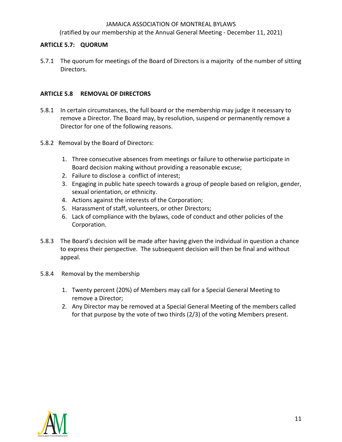(ratified by our membership at the Annual General Meeting - December 11, 2021)

#### **ARTICLE 5.7: QUORUM**

5.7.1 The quorum for meetings of the Board of Directors is a majority of the number of sitting Directors.

#### **ARTICLE 5.8 REMOVAL OF DIRECTORS**

- 5.8.1 In certain circumstances, the full board or the membership may judge it necessary to remove a Director. The Board may, by resolution, suspend or permanently remove a Director for one of the following reasons.
- 5.8.2Removal by the Board of Directors:
	- 1. Three consecutive absences from meetings or failure to otherwise participate in Board decision making without providing a reasonable excuse;
	- 2. Failure to disclose a conflict of interest;
	- 3. Engaging in public hate speech towards a group of people based on religion, gender, sexual orientation, or ethnicity.
	- 4. Actions against the interests of the Corporation;
	- 5. Harassment of staff, volunteers, or other Directors;
	- 6. Lack of compliance with the bylaws, code of conduct and other policies of the Corporation.
- 5.8.3 The Board's decision will be made after having given the individual in question a chance to express their perspective. The subsequent decision will then be final and without appeal.
- 5.8.4 Removal by the membership
	- 1. Twenty percent (20%) of Members may call for a Special General Meeting to remove a Director;
	- 2. Any Director may be removed at a Special General Meeting of the members called for that purpose by the vote of two thirds (2/3) of the voting Members present.

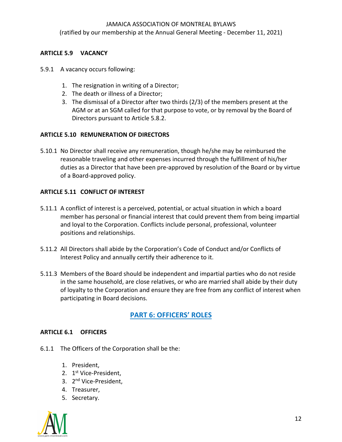(ratified by our membership at the Annual General Meeting - December 11, 2021)

## **ARTICLE 5.9 VACANCY**

- 5.9.1 A vacancy occurs following:
	- 1. The resignation in writing of a Director;
	- 2. The death or illness of a Director;
	- 3. The dismissal of a Director after two thirds (2/3) of the members present at the AGM or at an SGM called for that purpose to vote, or by removal by the Board of Directors pursuant to Article 5.8.2.

#### **ARTICLE 5.10 REMUNERATION OF DIRECTORS**

5.10.1 No Director shall receive any remuneration, though he/she may be reimbursed the reasonable traveling and other expenses incurred through the fulfillment of his/her duties as a Director that have been pre-approved by resolution of the Board or by virtue of a Board-approved policy.

#### **ARTICLE 5.11 CONFLICT OF INTEREST**

- 5.11.1 A conflict of interest is a perceived, potential, or actual situation in which a board member has personal or financial interest that could prevent them from being impartial and loyal to the Corporation. Conflicts include personal, professional, volunteer positions and relationships.
- 5.11.2 All Directors shall abide by the Corporation's Code of Conduct and/or Conflicts of Interest Policy and annually certify their adherence to it.
- 5.11.3 Members of the Board should be independent and impartial parties who do not reside in the same household, are close relatives, or who are married shall abide by their duty of loyalty to the Corporation and ensure they are free from any conflict of interest when participating in Board decisions.

## **PART 6: OFFICERS' ROLES**

#### **ARTICLE 6.1 OFFICERS**

- 6.1.1 The Officers of the Corporation shall be the:
	- 1. President,
	- 2. 1st Vice-President,
	- 3. 2nd Vice-President,
	- 4. Treasurer,
	- 5. Secretary.

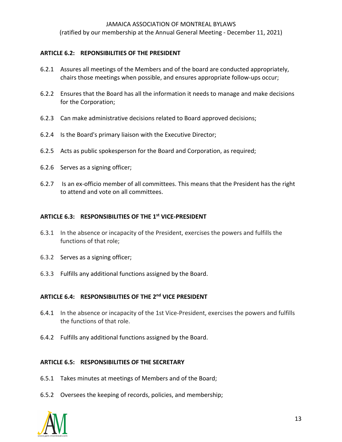(ratified by our membership at the Annual General Meeting - December 11, 2021)

#### **ARTICLE 6.2: REPONSIBILITIES OF THE PRESIDENT**

- 6.2.1 Assures all meetings of the Members and of the board are conducted appropriately, chairs those meetings when possible, and ensures appropriate follow-ups occur;
- 6.2.2 Ensures that the Board has all the information it needs to manage and make decisions for the Corporation;
- 6.2.3 Can make administrative decisions related to Board approved decisions;
- 6.2.4 Is the Board's primary liaison with the Executive Director;
- 6.2.5 Acts as public spokesperson for the Board and Corporation, as required;
- 6.2.6 Serves as a signing officer;
- 6.2.7 Is an ex-officio member of all committees. This means that the President has the right to attend and vote on all committees.

#### **ARTICLE 6.3: RESPONSIBILITIES OF THE 1st VICE-PRESIDENT**

- 6.3.1 In the absence or incapacity of the President, exercises the powers and fulfills the functions of that role;
- 6.3.2 Serves as a signing officer;
- 6.3.3 Fulfills any additional functions assigned by the Board.

#### **ARTICLE 6.4: RESPONSIBILITIES OF THE 2nd VICE PRESIDENT**

- 6.4.1 In the absence or incapacity of the 1st Vice-President, exercises the powers and fulfills the functions of that role.
- 6.4.2 Fulfills any additional functions assigned by the Board.

## **ARTICLE 6.5: RESPONSIBILITIES OF THE SECRETARY**

- 6.5.1 Takes minutes at meetings of Members and of the Board;
- 6.5.2 Oversees the keeping of records, policies, and membership;

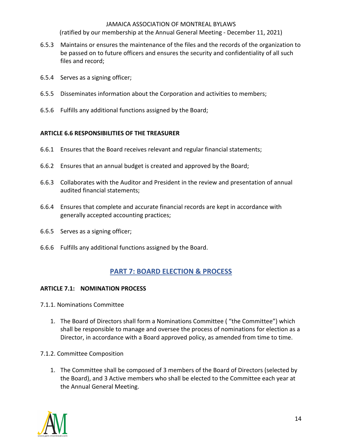(ratified by our membership at the Annual General Meeting - December 11, 2021)

- 6.5.3 Maintains or ensures the maintenance of the files and the records of the organization to be passed on to future officers and ensures the security and confidentiality of all such files and record;
- 6.5.4 Serves as a signing officer;
- 6.5.5 Disseminates information about the Corporation and activities to members;
- 6.5.6 Fulfills any additional functions assigned by the Board;

#### **ARTICLE 6.6 RESPONSIBILITIES OF THE TREASURER**

- 6.6.1 Ensures that the Board receives relevant and regular financial statements;
- 6.6.2 Ensures that an annual budget is created and approved by the Board;
- 6.6.3 Collaborates with the Auditor and President in the review and presentation of annual audited financial statements;
- 6.6.4 Ensures that complete and accurate financial records are kept in accordance with generally accepted accounting practices;
- 6.6.5 Serves as a signing officer;
- 6.6.6 Fulfills any additional functions assigned by the Board.

## **PART 7: BOARD ELECTION & PROCESS**

#### **ARTICLE 7.1: NOMINATION PROCESS**

- 7.1.1. Nominations Committee
	- 1. The Board of Directors shall form a Nominations Committee ( "the Committee") which shall be responsible to manage and oversee the process of nominations for election as a Director, in accordance with a Board approved policy, as amended from time to time.
- 7.1.2. Committee Composition
	- 1. The Committee shall be composed of 3 members of the Board of Directors (selected by the Board), and 3 Active members who shall be elected to the Committee each year at the Annual General Meeting.

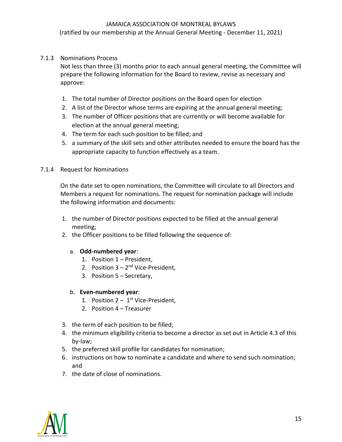(ratified by our membership at the Annual General Meeting - December 11, 2021)

#### 7.1.3 Nominations Process

Not less than three (3) months prior to each annual general meeting, the Committee will prepare the following information for the Board to review, revise as necessary and approve:

- 1. The total number of Director positions on the Board open for election
- 2. A list of the Director whose terms are expiring at the annual general meeting;
- 3. The number of Officer positions that are currently or will become available for election at the annual general meeting;
- 4. The term for each such position to be filled; and
- 5. a summary of the skill sets and other attributes needed to ensure the board has the appropriate capacity to function effectively as a team.

#### 7.1.4 Request for Nominations

On the date set to open nominations, the Committee will circulate to all Directors and Members a request for nominations. The request for nomination package will include the following information and documents:

- 1. the number of Director positions expected to be filled at the annual general meeting;
- 2. the Officer positions to be filled following the sequence of:

#### a. **Odd-numbered year**:

- 1. Position 1 President,
- 2. Position  $3 2^{nd}$  Vice-President,
- 3. Position 5 Secretary,
- b. **Even-numbered year**:
	- 1. Position  $2 1$ <sup>st</sup> Vice-President,
	- 2. Position 4 Treasurer
- 3. the term of each position to be filled;
- 4. the minimum eligibility criteria to become a director as set out in Article 4.3 of this by-law;
- 5. the preferred skill profile for candidates for nomination;
- 6. instructions on how to nominate a candidate and where to send such nomination; and
- 7. the date of close of nominations.

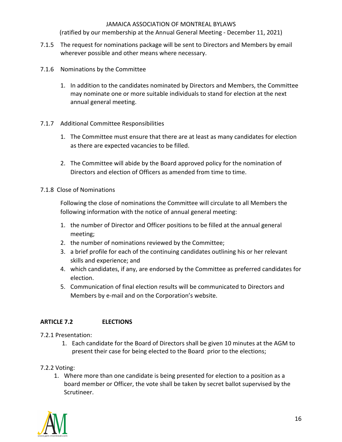(ratified by our membership at the Annual General Meeting - December 11, 2021)

- 7.1.5 The request for nominations package will be sent to Directors and Members by email wherever possible and other means where necessary.
- 7.1.6 Nominations by the Committee
	- 1. In addition to the candidates nominated by Directors and Members, the Committee may nominate one or more suitable individuals to stand for election at the next annual general meeting.
- 7.1.7 Additional Committee Responsibilities
	- 1. The Committee must ensure that there are at least as many candidates for election as there are expected vacancies to be filled.
	- 2. The Committee will abide by the Board approved policy for the nomination of Directors and election of Officers as amended from time to time.
- 7.1.8 Close of Nominations

Following the close of nominations the Committee will circulate to all Members the following information with the notice of annual general meeting:

- 1. the number of Director and Officer positions to be filled at the annual general meeting;
- 2. the number of nominations reviewed by the Committee;
- 3. a brief profile for each of the continuing candidates outlining his or her relevant skills and experience; and
- 4. which candidates, if any, are endorsed by the Committee as preferred candidates for election.
- 5. Communication of final election results will be communicated to Directors and Members by e-mail and on the Corporation's website.

## **ARTICLE 7.2 ELECTIONS**

#### 7.2.1 Presentation:

- 1. Each candidate for the Board of Directors shall be given 10 minutes at the AGM to present their case for being elected to the Board prior to the elections;
- 7.2.2 Voting:
	- 1. Where more than one candidate is being presented for election to a position as a board member or Officer, the vote shall be taken by secret ballot supervised by the Scrutineer.

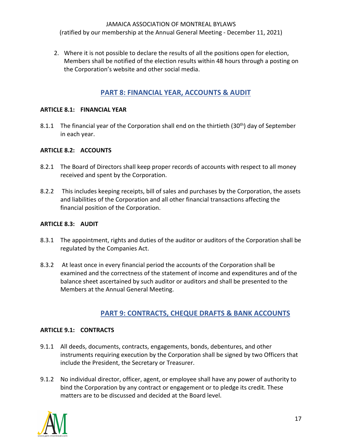(ratified by our membership at the Annual General Meeting - December 11, 2021)

2. Where it is not possible to declare the results of all the positions open for election, Members shall be notified of the election results within 48 hours through a posting on the Corporation's website and other social media.

## **PART 8: FINANCIAL YEAR, ACCOUNTS & AUDIT**

#### **ARTICLE 8.1: FINANCIAL YEAR**

8.1.1 The financial year of the Corporation shall end on the thirtieth (30<sup>th</sup>) day of September in each year.

#### **ARTICLE 8.2: ACCOUNTS**

- 8.2.1 The Board of Directors shall keep proper records of accounts with respect to all money received and spent by the Corporation.
- 8.2.2 This includes keeping receipts, bill of sales and purchases by the Corporation, the assets and liabilities of the Corporation and all other financial transactions affecting the financial position of the Corporation.

#### **ARTICLE 8.3: AUDIT**

- 8.3.1 The appointment, rights and duties of the auditor or auditors of the Corporation shall be regulated by the Companies Act.
- 8.3.2 At least once in every financial period the accounts of the Corporation shall be examined and the correctness of the statement of income and expenditures and of the balance sheet ascertained by such auditor or auditors and shall be presented to the Members at the Annual General Meeting.

## **PART 9: CONTRACTS, CHEQUE DRAFTS & BANK ACCOUNTS**

#### **ARTICLE 9.1: CONTRACTS**

- 9.1.1 All deeds, documents, contracts, engagements, bonds, debentures, and other instruments requiring execution by the Corporation shall be signed by two Officers that include the President, the Secretary or Treasurer.
- 9.1.2 No individual director, officer, agent, or employee shall have any power of authority to bind the Corporation by any contract or engagement or to pledge its credit. These matters are to be discussed and decided at the Board level.

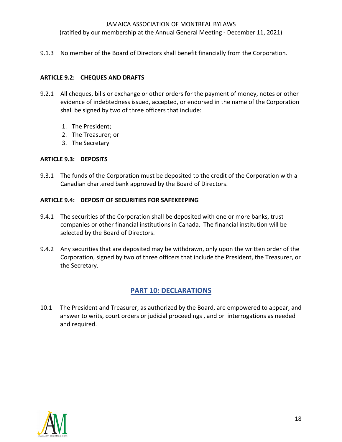(ratified by our membership at the Annual General Meeting - December 11, 2021)

9.1.3 No member of the Board of Directors shall benefit financially from the Corporation.

#### **ARTICLE 9.2: CHEQUES AND DRAFTS**

- 9.2.1 All cheques, bills or exchange or other orders for the payment of money, notes or other evidence of indebtedness issued, accepted, or endorsed in the name of the Corporation shall be signed by two of three officers that include:
	- 1. The President;
	- 2. The Treasurer; or
	- 3. The Secretary

#### **ARTICLE 9.3: DEPOSITS**

9.3.1 The funds of the Corporation must be deposited to the credit of the Corporation with a Canadian chartered bank approved by the Board of Directors.

#### **ARTICLE 9.4: DEPOSIT OF SECURITIES FOR SAFEKEEPING**

- 9.4.1 The securities of the Corporation shall be deposited with one or more banks, trust companies or other financial institutions in Canada. The financial institution will be selected by the Board of Directors.
- 9.4.2 Any securities that are deposited may be withdrawn, only upon the written order of the Corporation, signed by two of three officers that include the President, the Treasurer, or the Secretary.

## **PART 10: DECLARATIONS**

10.1 The President and Treasurer, as authorized by the Board, are empowered to appear, and answer to writs, court orders or judicial proceedings , and or interrogations as needed and required.

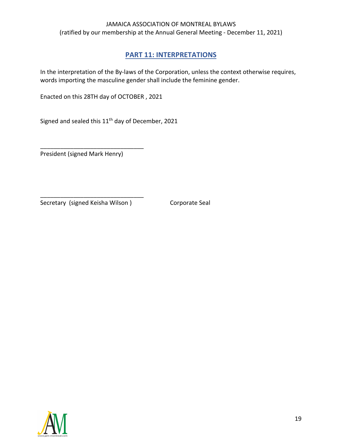## **PART 11: INTERPRETATIONS**

In the interpretation of the By-laws of the Corporation, unless the context otherwise requires, words importing the masculine gender shall include the feminine gender.

Enacted on this 28TH day of OCTOBER , 2021

Signed and sealed this 11<sup>th</sup> day of December, 2021

President (signed Mark Henry)

\_\_\_\_\_\_\_\_\_\_\_\_\_\_\_\_\_\_\_\_\_\_\_\_\_\_\_\_\_\_\_

Secretary (signed Keisha Wilson ) Corporate Seal

\_\_\_\_\_\_\_\_\_\_\_\_\_\_\_\_\_\_\_\_\_\_\_\_\_\_\_\_\_\_\_

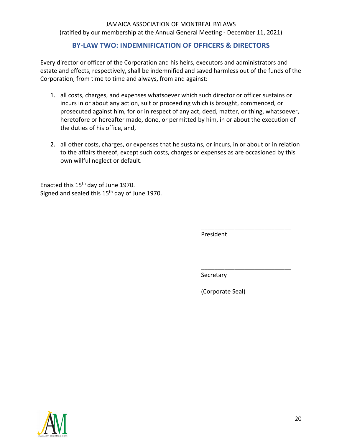## **BY-LAW TWO: INDEMNIFICATION OF OFFICERS & DIRECTORS**

Every director or officer of the Corporation and his heirs, executors and administrators and estate and effects, respectively, shall be indemnified and saved harmless out of the funds of the Corporation, from time to time and always, from and against:

- 1. all costs, charges, and expenses whatsoever which such director or officer sustains or incurs in or about any action, suit or proceeding which is brought, commenced, or prosecuted against him, for or in respect of any act, deed, matter, or thing, whatsoever, heretofore or hereafter made, done, or permitted by him, in or about the execution of the duties of his office, and,
- 2. all other costs, charges, or expenses that he sustains, or incurs, in or about or in relation to the affairs thereof, except such costs, charges or expenses as are occasioned by this own willful neglect or default.

Enacted this 15th day of June 1970. Signed and sealed this 15<sup>th</sup> day of June 1970.

President

\_\_\_\_\_\_\_\_\_\_\_\_\_\_\_\_\_\_\_\_\_\_\_\_\_\_\_

\_\_\_\_\_\_\_\_\_\_\_\_\_\_\_\_\_\_\_\_\_\_\_\_\_\_\_

Secretary

(Corporate Seal)

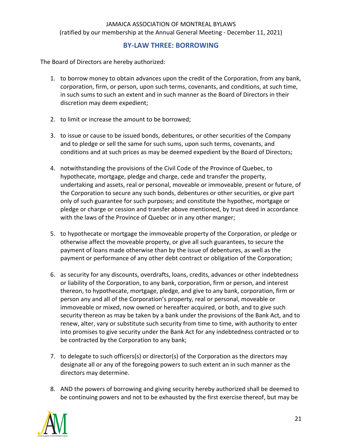## **BY-LAW THREE: BORROWING**

The Board of Directors are hereby authorized:

- 1. to borrow money to obtain advances upon the credit of the Corporation, from any bank, corporation, firm, or person, upon such terms, covenants, and conditions, at such time, in such sums to such an extent and in such manner as the Board of Directors in their discretion may deem expedient;
- 2. to limit or increase the amount to be borrowed;
- 3. to issue or cause to be issued bonds, debentures, or other securities of the Company and to pledge or sell the same for such sums, upon such terms, covenants, and conditions and at such prices as may be deemed expedient by the Board of Directors;
- 4. notwithstanding the provisions of the Civil Code of the Province of Quebec, to hypothecate, mortgage, pledge and charge, cede and transfer the property, undertaking and assets, real or personal, moveable or immoveable, present or future, of the Corporation to secure any such bonds, debentures or other securities, or give part only of such guarantee for such purposes; and constitute the hypothec, mortgage or pledge or charge or cession and transfer above mentioned, by trust deed in accordance with the laws of the Province of Quebec or in any other manger;
- 5. to hypothecate or mortgage the immoveable property of the Corporation, or pledge or otherwise affect the moveable property, or give all such guarantees, to secure the payment of loans made otherwise than by the issue of debentures, as well as the payment or performance of any other debt contract or obligation of the Corporation;
- 6. as security for any discounts, overdrafts, loans, credits, advances or other indebtedness or liability of the Corporation, to any bank, corporation, firm or person, and interest thereon, to hypothecate, mortgage, pledge, and give to any bank, corporation, firm or person any and all of the Corporation's property, real or personal, moveable or immoveable or mixed, now owned or hereafter acquired, or both, and to give such security thereon as may be taken by a bank under the provisions of the Bank Act, and to renew, alter, vary or substitute such security from time to time, with authority to enter into promises to give security under the Bank Act for any indebtedness contracted or to be contracted by the Corporation to any bank;
- 7. to delegate to such officers(s) or director(s) of the Corporation as the directors may designate all or any of the foregoing powers to such extent an in such manner as the directors may determine.
- 8. AND the powers of borrowing and giving security hereby authorized shall be deemed to be continuing powers and not to be exhausted by the first exercise thereof, but may be